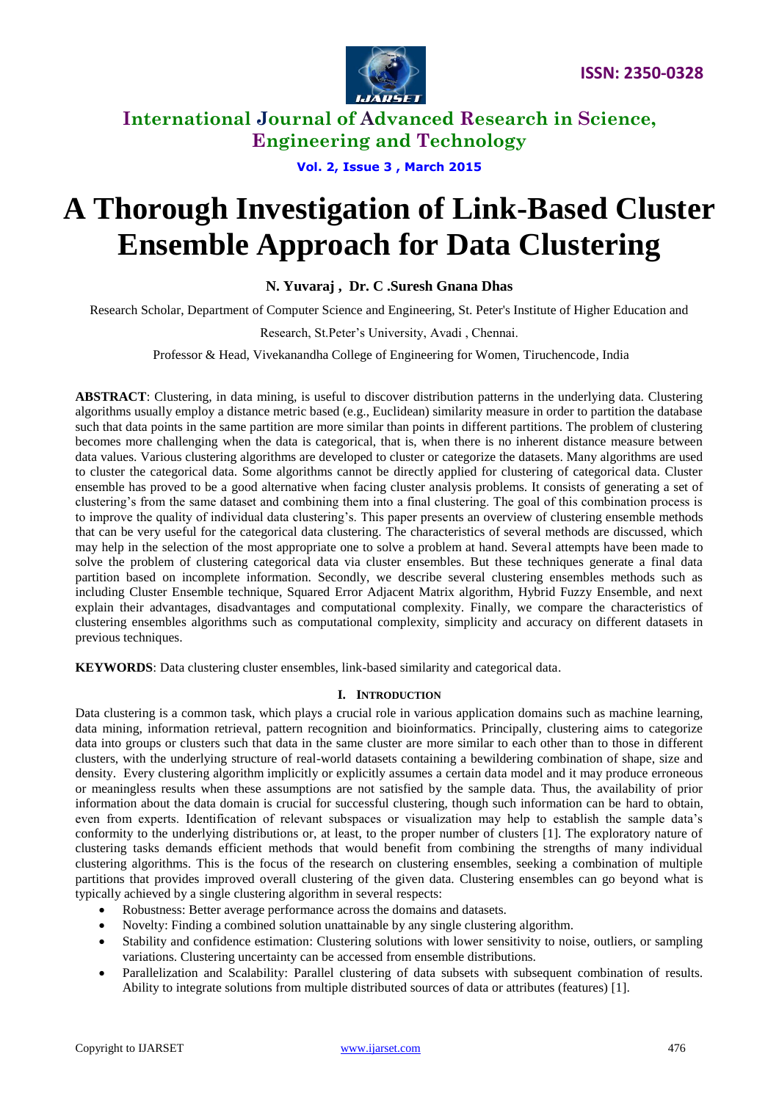

**Vol. 2, Issue 3 , March 2015**

# **A Thorough Investigation of Link-Based Cluster Ensemble Approach for Data Clustering**

**N. Yuvaraj , Dr. C .Suresh Gnana Dhas** 

Research Scholar, Department of Computer Science and Engineering, St. Peter's Institute of Higher Education and

Research, St.Peter's University, Avadi , Chennai.

Professor & Head, Vivekanandha College of Engineering for Women, Tiruchencode, India

**ABSTRACT**: Clustering, in data mining, is useful to discover distribution patterns in the underlying data. Clustering algorithms usually employ a distance metric based (e.g., Euclidean) similarity measure in order to partition the database such that data points in the same partition are more similar than points in different partitions. The problem of clustering becomes more challenging when the data is categorical, that is, when there is no inherent distance measure between data values. Various clustering algorithms are developed to cluster or categorize the datasets. Many algorithms are used to cluster the categorical data. Some algorithms cannot be directly applied for clustering of categorical data. Cluster ensemble has proved to be a good alternative when facing cluster analysis problems. It consists of generating a set of clustering's from the same dataset and combining them into a final clustering. The goal of this combination process is to improve the quality of individual data clustering's. This paper presents an overview of clustering ensemble methods that can be very useful for the categorical data clustering. The characteristics of several methods are discussed, which may help in the selection of the most appropriate one to solve a problem at hand. Several attempts have been made to solve the problem of clustering categorical data via cluster ensembles. But these techniques generate a final data partition based on incomplete information. Secondly, we describe several clustering ensembles methods such as including Cluster Ensemble technique, Squared Error Adjacent Matrix algorithm, Hybrid Fuzzy Ensemble, and next explain their advantages, disadvantages and computational complexity. Finally, we compare the characteristics of clustering ensembles algorithms such as computational complexity, simplicity and accuracy on different datasets in previous techniques.

**KEYWORDS**: Data clustering cluster ensembles, link-based similarity and categorical data.

### **I. INTRODUCTION**

Data clustering is a common task, which plays a crucial role in various application domains such as machine learning, data mining, information retrieval, pattern recognition and bioinformatics. Principally, clustering aims to categorize data into groups or clusters such that data in the same cluster are more similar to each other than to those in different clusters, with the underlying structure of real-world datasets containing a bewildering combination of shape, size and density. Every clustering algorithm implicitly or explicitly assumes a certain data model and it may produce erroneous or meaningless results when these assumptions are not satisfied by the sample data. Thus, the availability of prior information about the data domain is crucial for successful clustering, though such information can be hard to obtain, even from experts. Identification of relevant subspaces or visualization may help to establish the sample data's conformity to the underlying distributions or, at least, to the proper number of clusters [1]. The exploratory nature of clustering tasks demands efficient methods that would benefit from combining the strengths of many individual clustering algorithms. This is the focus of the research on clustering ensembles, seeking a combination of multiple partitions that provides improved overall clustering of the given data. Clustering ensembles can go beyond what is typically achieved by a single clustering algorithm in several respects:

- Robustness: Better average performance across the domains and datasets.
- Novelty: Finding a combined solution unattainable by any single clustering algorithm.
- Stability and confidence estimation: Clustering solutions with lower sensitivity to noise, outliers, or sampling variations. Clustering uncertainty can be accessed from ensemble distributions.
- Parallelization and Scalability: Parallel clustering of data subsets with subsequent combination of results. Ability to integrate solutions from multiple distributed sources of data or attributes (features) [1].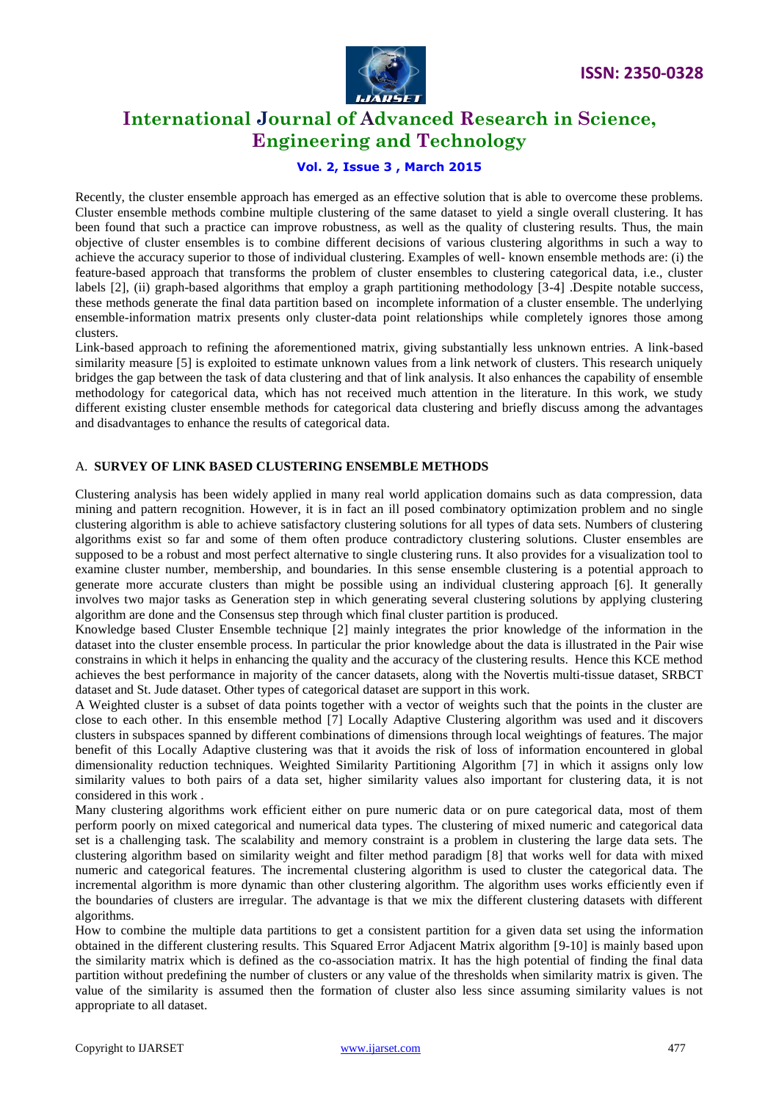

### **Vol. 2, Issue 3 , March 2015**

Recently, the cluster ensemble approach has emerged as an effective solution that is able to overcome these problems. Cluster ensemble methods combine multiple clustering of the same dataset to yield a single overall clustering. It has been found that such a practice can improve robustness, as well as the quality of clustering results. Thus, the main objective of cluster ensembles is to combine different decisions of various clustering algorithms in such a way to achieve the accuracy superior to those of individual clustering. Examples of well- known ensemble methods are: (i) the feature-based approach that transforms the problem of cluster ensembles to clustering categorical data, i.e., cluster labels [2], (ii) graph-based algorithms that employ a graph partitioning methodology [3-4] .Despite notable success, these methods generate the final data partition based on incomplete information of a cluster ensemble. The underlying ensemble-information matrix presents only cluster-data point relationships while completely ignores those among clusters.

Link-based approach to refining the aforementioned matrix, giving substantially less unknown entries. A link-based similarity measure [5] is exploited to estimate unknown values from a link network of clusters. This research uniquely bridges the gap between the task of data clustering and that of link analysis. It also enhances the capability of ensemble methodology for categorical data, which has not received much attention in the literature. In this work, we study different existing cluster ensemble methods for categorical data clustering and briefly discuss among the advantages and disadvantages to enhance the results of categorical data.

#### A. **SURVEY OF LINK BASED CLUSTERING ENSEMBLE METHODS**

Clustering analysis has been widely applied in many real world application domains such as data compression, data mining and pattern recognition. However, it is in fact an ill posed combinatory optimization problem and no single clustering algorithm is able to achieve satisfactory clustering solutions for all types of data sets. Numbers of clustering algorithms exist so far and some of them often produce contradictory clustering solutions. Cluster ensembles are supposed to be a robust and most perfect alternative to single clustering runs. It also provides for a visualization tool to examine cluster number, membership, and boundaries. In this sense ensemble clustering is a potential approach to generate more accurate clusters than might be possible using an individual clustering approach [6]. It generally involves two major tasks as Generation step in which generating several clustering solutions by applying clustering algorithm are done and the Consensus step through which final cluster partition is produced.

Knowledge based Cluster Ensemble technique [2] mainly integrates the prior knowledge of the information in the dataset into the cluster ensemble process. In particular the prior knowledge about the data is illustrated in the Pair wise constrains in which it helps in enhancing the quality and the accuracy of the clustering results. Hence this KCE method achieves the best performance in majority of the cancer datasets, along with the Novertis multi-tissue dataset, SRBCT dataset and St. Jude dataset. Other types of categorical dataset are support in this work.

A Weighted cluster is a subset of data points together with a vector of weights such that the points in the cluster are close to each other. In this ensemble method [7] Locally Adaptive Clustering algorithm was used and it discovers clusters in subspaces spanned by different combinations of dimensions through local weightings of features. The major benefit of this Locally Adaptive clustering was that it avoids the risk of loss of information encountered in global dimensionality reduction techniques. Weighted Similarity Partitioning Algorithm [7] in which it assigns only low similarity values to both pairs of a data set, higher similarity values also important for clustering data, it is not considered in this work .

Many clustering algorithms work efficient either on pure numeric data or on pure categorical data, most of them perform poorly on mixed categorical and numerical data types. The clustering of mixed numeric and categorical data set is a challenging task. The scalability and memory constraint is a problem in clustering the large data sets. The clustering algorithm based on similarity weight and filter method paradigm [8] that works well for data with mixed numeric and categorical features. The incremental clustering algorithm is used to cluster the categorical data. The incremental algorithm is more dynamic than other clustering algorithm. The algorithm uses works efficiently even if the boundaries of clusters are irregular. The advantage is that we mix the different clustering datasets with different algorithms.

How to combine the multiple data partitions to get a consistent partition for a given data set using the information obtained in the different clustering results. This Squared Error Adjacent Matrix algorithm [9-10] is mainly based upon the similarity matrix which is defined as the co-association matrix. It has the high potential of finding the final data partition without predefining the number of clusters or any value of the thresholds when similarity matrix is given. The value of the similarity is assumed then the formation of cluster also less since assuming similarity values is not appropriate to all dataset.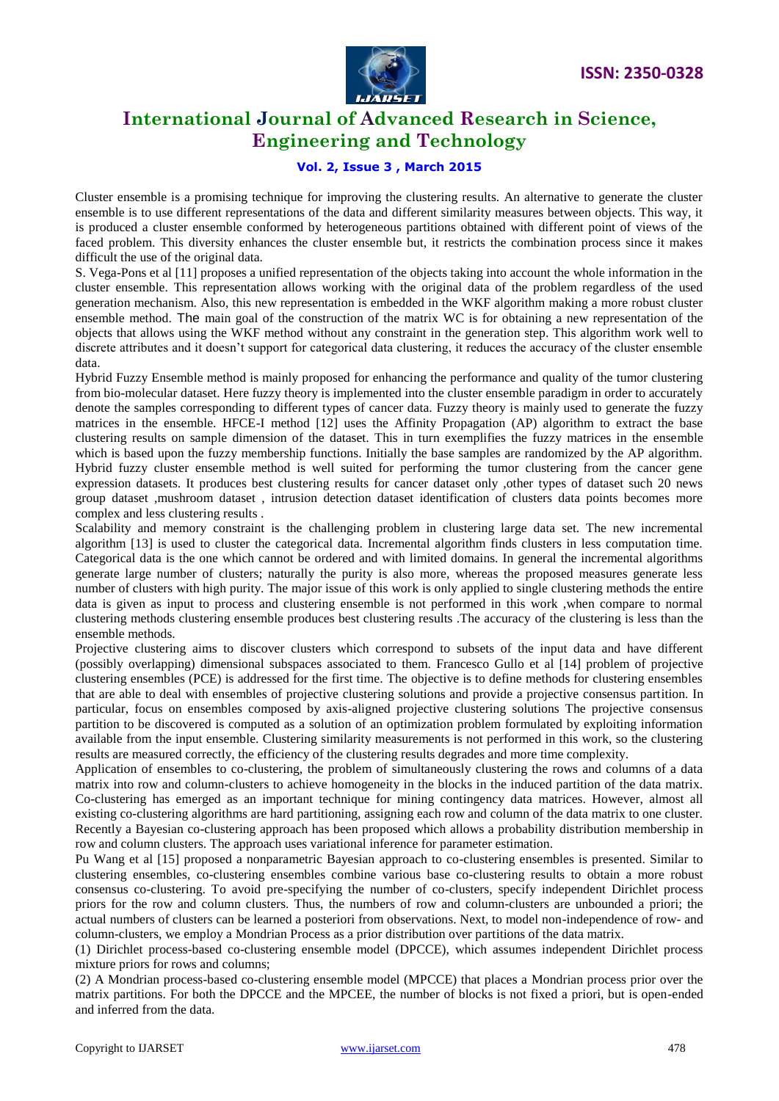

### **Vol. 2, Issue 3 , March 2015**

Cluster ensemble is a promising technique for improving the clustering results. An alternative to generate the cluster ensemble is to use different representations of the data and different similarity measures between objects. This way, it is produced a cluster ensemble conformed by heterogeneous partitions obtained with different point of views of the faced problem. This diversity enhances the cluster ensemble but, it restricts the combination process since it makes difficult the use of the original data.

S. Vega-Pons et al [11] proposes a unified representation of the objects taking into account the whole information in the cluster ensemble. This representation allows working with the original data of the problem regardless of the used generation mechanism. Also, this new representation is embedded in the WKF algorithm making a more robust cluster ensemble method. The main goal of the construction of the matrix WC is for obtaining a new representation of the objects that allows using the WKF method without any constraint in the generation step. This algorithm work well to discrete attributes and it doesn't support for categorical data clustering, it reduces the accuracy of the cluster ensemble data.

Hybrid Fuzzy Ensemble method is mainly proposed for enhancing the performance and quality of the tumor clustering from bio-molecular dataset. Here fuzzy theory is implemented into the cluster ensemble paradigm in order to accurately denote the samples corresponding to different types of cancer data. Fuzzy theory is mainly used to generate the fuzzy matrices in the ensemble. HFCE-I method [12] uses the Affinity Propagation (AP) algorithm to extract the base clustering results on sample dimension of the dataset. This in turn exemplifies the fuzzy matrices in the ensemble which is based upon the fuzzy membership functions. Initially the base samples are randomized by the AP algorithm. Hybrid fuzzy cluster ensemble method is well suited for performing the tumor clustering from the cancer gene expression datasets. It produces best clustering results for cancer dataset only ,other types of dataset such 20 news group dataset ,mushroom dataset , intrusion detection dataset identification of clusters data points becomes more complex and less clustering results .

Scalability and memory constraint is the challenging problem in clustering large data set. The new incremental algorithm [13] is used to cluster the categorical data. Incremental algorithm finds clusters in less computation time. Categorical data is the one which cannot be ordered and with limited domains. In general the incremental algorithms generate large number of clusters; naturally the purity is also more, whereas the proposed measures generate less number of clusters with high purity. The major issue of this work is only applied to single clustering methods the entire data is given as input to process and clustering ensemble is not performed in this work ,when compare to normal clustering methods clustering ensemble produces best clustering results .The accuracy of the clustering is less than the ensemble methods.

Projective clustering aims to discover clusters which correspond to subsets of the input data and have different (possibly overlapping) dimensional subspaces associated to them. Francesco Gullo et al [14] problem of projective clustering ensembles (PCE) is addressed for the first time. The objective is to define methods for clustering ensembles that are able to deal with ensembles of projective clustering solutions and provide a projective consensus partition. In particular, focus on ensembles composed by axis-aligned projective clustering solutions The projective consensus partition to be discovered is computed as a solution of an optimization problem formulated by exploiting information available from the input ensemble. Clustering similarity measurements is not performed in this work, so the clustering results are measured correctly, the efficiency of the clustering results degrades and more time complexity.

Application of ensembles to co-clustering, the problem of simultaneously clustering the rows and columns of a data matrix into row and column-clusters to achieve homogeneity in the blocks in the induced partition of the data matrix. Co-clustering has emerged as an important technique for mining contingency data matrices. However, almost all existing co-clustering algorithms are hard partitioning, assigning each row and column of the data matrix to one cluster. Recently a Bayesian co-clustering approach has been proposed which allows a probability distribution membership in row and column clusters. The approach uses variational inference for parameter estimation.

Pu Wang et al [15] proposed a nonparametric Bayesian approach to co-clustering ensembles is presented. Similar to clustering ensembles, co-clustering ensembles combine various base co-clustering results to obtain a more robust consensus co-clustering. To avoid pre-specifying the number of co-clusters, specify independent Dirichlet process priors for the row and column clusters. Thus, the numbers of row and column-clusters are unbounded a priori; the actual numbers of clusters can be learned a posteriori from observations. Next, to model non-independence of row- and column-clusters, we employ a Mondrian Process as a prior distribution over partitions of the data matrix.

(1) Dirichlet process-based co-clustering ensemble model (DPCCE), which assumes independent Dirichlet process mixture priors for rows and columns;

(2) A Mondrian process-based co-clustering ensemble model (MPCCE) that places a Mondrian process prior over the matrix partitions. For both the DPCCE and the MPCEE, the number of blocks is not fixed a priori, but is open-ended and inferred from the data.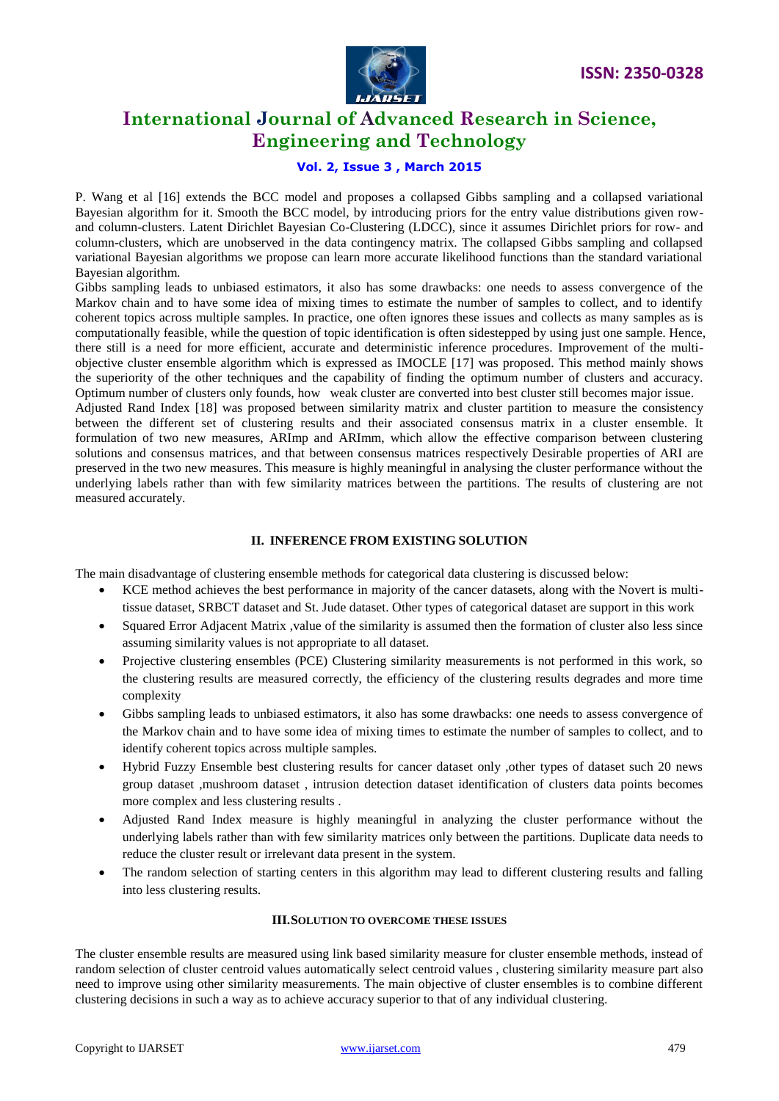

#### **Vol. 2, Issue 3 , March 2015**

P. Wang et al [16] extends the BCC model and proposes a collapsed Gibbs sampling and a collapsed variational Bayesian algorithm for it. Smooth the BCC model, by introducing priors for the entry value distributions given rowand column-clusters. Latent Dirichlet Bayesian Co-Clustering (LDCC), since it assumes Dirichlet priors for row- and column-clusters, which are unobserved in the data contingency matrix. The collapsed Gibbs sampling and collapsed variational Bayesian algorithms we propose can learn more accurate likelihood functions than the standard variational Bayesian algorithm.

Gibbs sampling leads to unbiased estimators, it also has some drawbacks: one needs to assess convergence of the Markov chain and to have some idea of mixing times to estimate the number of samples to collect, and to identify coherent topics across multiple samples. In practice, one often ignores these issues and collects as many samples as is computationally feasible, while the question of topic identification is often sidestepped by using just one sample. Hence, there still is a need for more efficient, accurate and deterministic inference procedures. Improvement of the multiobjective cluster ensemble algorithm which is expressed as IMOCLE [17] was proposed. This method mainly shows the superiority of the other techniques and the capability of finding the optimum number of clusters and accuracy. Optimum number of clusters only founds, how weak cluster are converted into best cluster still becomes major issue.

Adjusted Rand Index [18] was proposed between similarity matrix and cluster partition to measure the consistency between the different set of clustering results and their associated consensus matrix in a cluster ensemble. It formulation of two new measures, ARImp and ARImm, which allow the effective comparison between clustering solutions and consensus matrices, and that between consensus matrices respectively Desirable properties of ARI are preserved in the two new measures. This measure is highly meaningful in analysing the cluster performance without the underlying labels rather than with few similarity matrices between the partitions. The results of clustering are not measured accurately.

#### **II. INFERENCE FROM EXISTING SOLUTION**

The main disadvantage of clustering ensemble methods for categorical data clustering is discussed below:

- KCE method achieves the best performance in majority of the cancer datasets, along with the Novert is multitissue dataset, SRBCT dataset and St. Jude dataset. Other types of categorical dataset are support in this work
- Squared Error Adjacent Matrix ,value of the similarity is assumed then the formation of cluster also less since assuming similarity values is not appropriate to all dataset.
- Projective clustering ensembles (PCE) Clustering similarity measurements is not performed in this work, so the clustering results are measured correctly, the efficiency of the clustering results degrades and more time complexity
- Gibbs sampling leads to unbiased estimators, it also has some drawbacks: one needs to assess convergence of the Markov chain and to have some idea of mixing times to estimate the number of samples to collect, and to identify coherent topics across multiple samples.
- Hybrid Fuzzy Ensemble best clustering results for cancer dataset only ,other types of dataset such 20 news group dataset ,mushroom dataset , intrusion detection dataset identification of clusters data points becomes more complex and less clustering results .
- Adjusted Rand Index measure is highly meaningful in analyzing the cluster performance without the underlying labels rather than with few similarity matrices only between the partitions. Duplicate data needs to reduce the cluster result or irrelevant data present in the system.
- The random selection of starting centers in this algorithm may lead to different clustering results and falling into less clustering results.

#### **III.SOLUTION TO OVERCOME THESE ISSUES**

The cluster ensemble results are measured using link based similarity measure for cluster ensemble methods, instead of random selection of cluster centroid values automatically select centroid values , clustering similarity measure part also need to improve using other similarity measurements. The main objective of cluster ensembles is to combine different clustering decisions in such a way as to achieve accuracy superior to that of any individual clustering.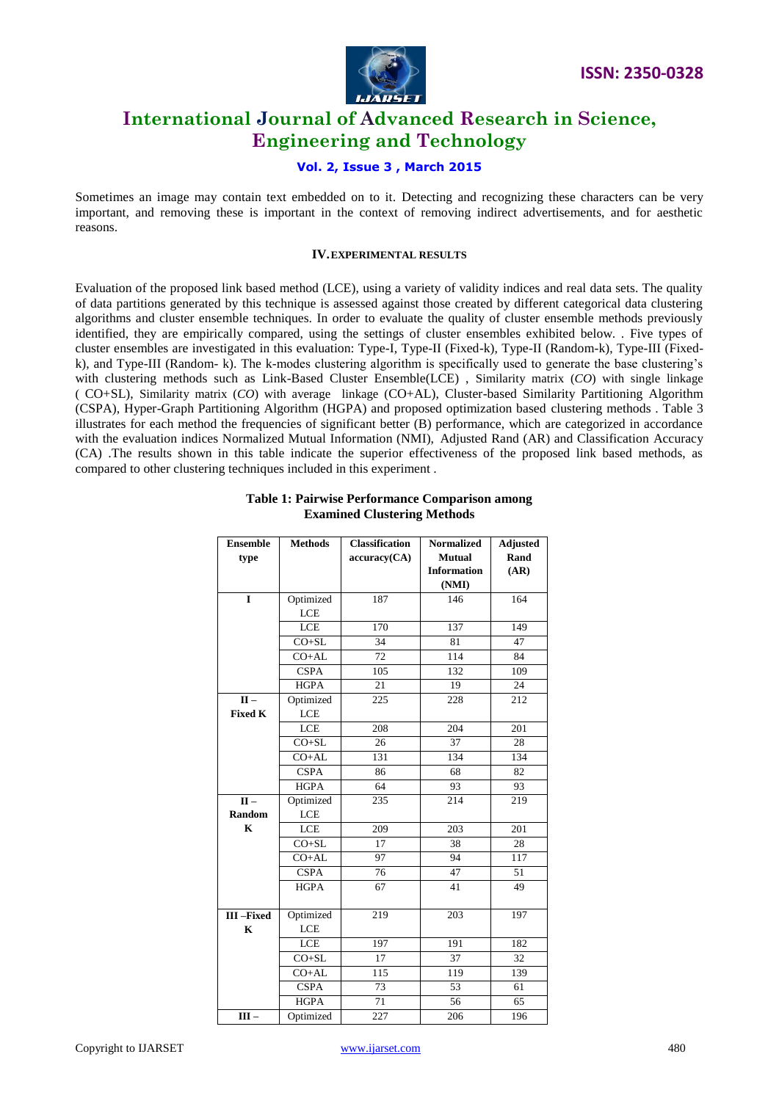

#### **Vol. 2, Issue 3 , March 2015**

Sometimes an image may contain text embedded on to it. Detecting and recognizing these characters can be very important, and removing these is important in the context of removing indirect advertisements, and for aesthetic reasons.

#### **IV.EXPERIMENTAL RESULTS**

Evaluation of the proposed link based method (LCE), using a variety of validity indices and real data sets. The quality of data partitions generated by this technique is assessed against those created by different categorical data clustering algorithms and cluster ensemble techniques. In order to evaluate the quality of cluster ensemble methods previously identified, they are empirically compared, using the settings of cluster ensembles exhibited below. . Five types of cluster ensembles are investigated in this evaluation: Type-I, Type-II (Fixed-k), Type-II (Random-k), Type-III (Fixedk), and Type-III (Random- k). The k-modes clustering algorithm is specifically used to generate the base clustering's with clustering methods such as Link-Based Cluster Ensemble(LCE) , Similarity matrix (*CO*) with single linkage ( CO+SL), Similarity matrix (*CO*) with average linkage (CO+AL), Cluster-based Similarity Partitioning Algorithm (CSPA), Hyper-Graph Partitioning Algorithm (HGPA) and proposed optimization based clustering methods . Table 3 illustrates for each method the frequencies of significant better (B) performance, which are categorized in accordance with the evaluation indices Normalized Mutual Information (NMI), Adjusted Rand (AR) and Classification Accuracy (CA) .The results shown in this table indicate the superior effectiveness of the proposed link based methods, as compared to other clustering techniques included in this experiment .

| <b>Ensemble</b>           | <b>Methods</b> | <b>Classification</b> | <b>Normalized</b>  | <b>Adjusted</b> |
|---------------------------|----------------|-----------------------|--------------------|-----------------|
| type                      |                | accuracy(CA)          | <b>Mutual</b>      | Rand            |
|                           |                |                       | <b>Information</b> | (AR)            |
|                           |                |                       | (NMI)              |                 |
| $\mathbf{I}$              | Optimized      | 187                   | 146                | 164             |
|                           | LCE            |                       |                    |                 |
|                           | LCE            | 170                   | 137                | 149             |
|                           | $CO + SL$      | 34                    | 81                 | 47              |
|                           | $CO+AL$        | 72                    | 114                | 84              |
|                           | <b>CSPA</b>    | 105                   | 132                | 109             |
|                           | <b>HGPA</b>    | 21                    | 19                 | 24              |
| $\overline{\mathbf{H}}$ – | Optimized      | 225                   | 228                | 212             |
| <b>Fixed K</b>            | LCE            |                       |                    |                 |
|                           | LCE            | 208                   | 204                | 201             |
|                           | $CO + SL$      | 26                    | $\overline{37}$    | $\overline{28}$ |
|                           | $CO+AL$        | 131                   | 134                | 134             |
|                           | <b>CSPA</b>    | 86                    | 68                 | 82              |
|                           | <b>HGPA</b>    | 64                    | 93                 | 93              |
| $II -$                    | Optimized      | 235                   | 214                | 219             |
| Random                    | <b>LCE</b>     |                       |                    |                 |
| $\mathbf K$               | <b>LCE</b>     | 209                   | 203                | 201             |
|                           | $CO + SL$      | 17                    | 38                 | 28              |
|                           | $CO+AL$        | 97                    | 94                 | 117             |
|                           | <b>CSPA</b>    | 76                    | 47                 | 51              |
|                           | <b>HGPA</b>    | 67                    | 41                 | 49              |
| III-Fixed                 | Optimized      | 219                   | 203                | 197             |
| $\mathbf K$               | LCE            |                       |                    |                 |
|                           | LCE            | 197                   | 191                | 182             |
|                           | $CO + SL$      | $\overline{17}$       | 37                 | $\overline{32}$ |
|                           | $CO+AL$        | 115                   | 119                | 139             |
|                           | <b>CSPA</b>    | 73                    | 53                 | 61              |
|                           | <b>HGPA</b>    | 71                    | 56                 | 65              |
| $III -$                   | Optimized      | 227                   | 206                | 196             |

#### **Table 1: Pairwise Performance Comparison among Examined Clustering Methods**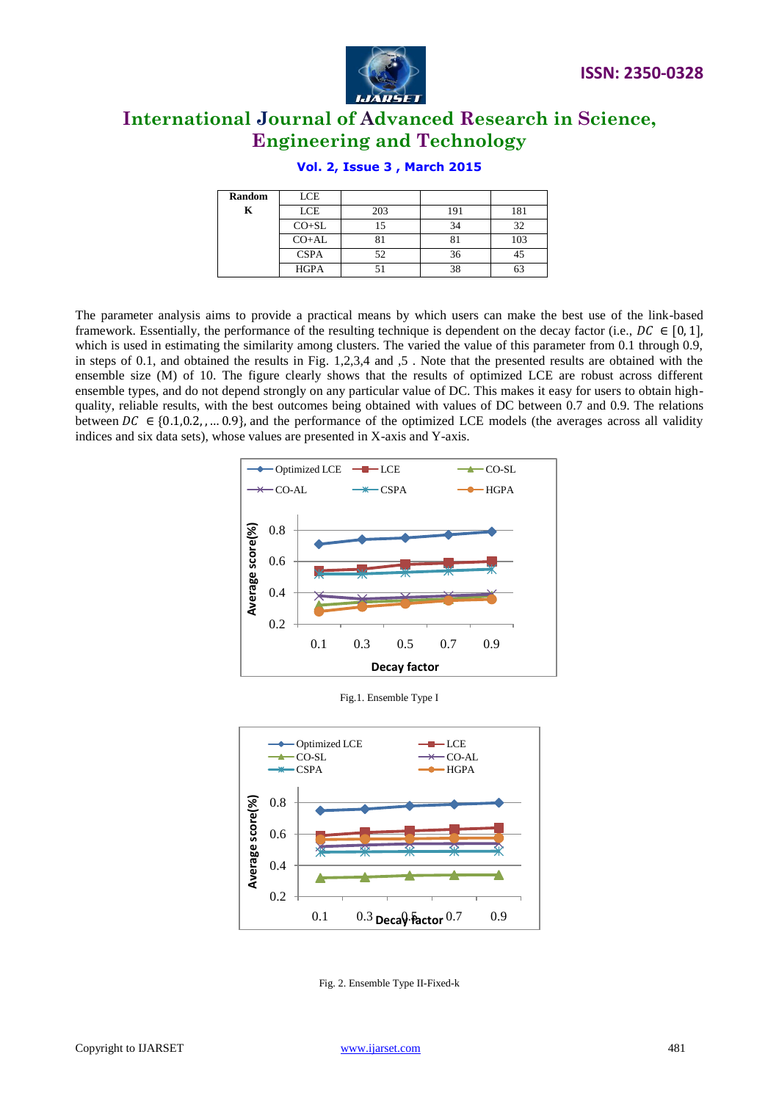



| <b>Random</b> | LCE         |     |     |     |
|---------------|-------------|-----|-----|-----|
| K             | LCE         | 203 | 191 | 181 |
|               | $CO+SL$     |     | 34  | 32  |
|               | $CO+AL$     |     |     | 103 |
|               | <b>CSPA</b> | 52  | 36  |     |
|               | <b>HGPA</b> |     |     | 63  |

#### **Vol. 2, Issue 3 , March 2015**

The parameter analysis aims to provide a practical means by which users can make the best use of the link-based framework. Essentially, the performance of the resulting technique is dependent on the decay factor (i.e.,  $DC \in [0, 1]$ , which is used in estimating the similarity among clusters. The varied the value of this parameter from 0.1 through 0.9, in steps of 0.1, and obtained the results in Fig. 1,2,3,4 and ,5 . Note that the presented results are obtained with the ensemble size (M) of 10. The figure clearly shows that the results of optimized LCE are robust across different ensemble types, and do not depend strongly on any particular value of DC. This makes it easy for users to obtain highquality, reliable results, with the best outcomes being obtained with values of DC between 0.7 and 0.9. The relations between  $DC \in \{0.1, 0.2, ..., 0.9\}$ , and the performance of the optimized LCE models (the averages across all validity indices and six data sets), whose values are presented in X-axis and Y-axis.



Fig.1. Ensemble Type I



Fig. 2. Ensemble Type II-Fixed-k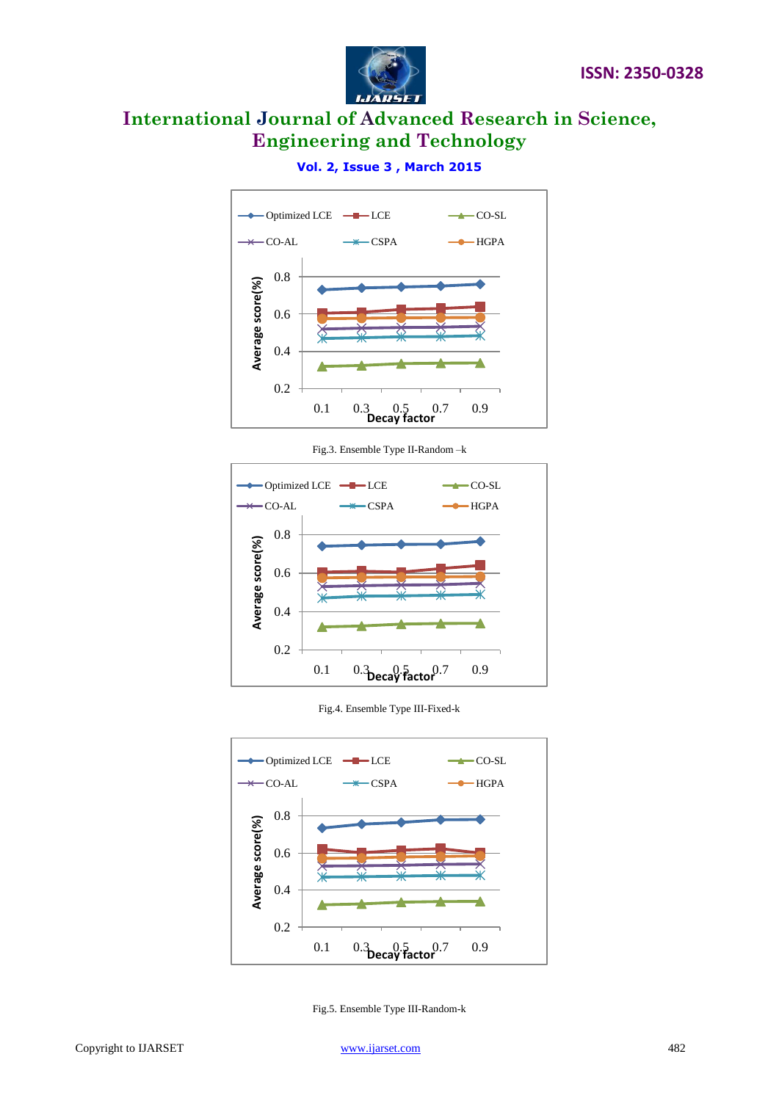



### **Vol. 2, Issue 3 , March 2015**

Fig.3. Ensemble Type II-Random –k



Fig.4. Ensemble Type III-Fixed-k



Fig.5. Ensemble Type III-Random-k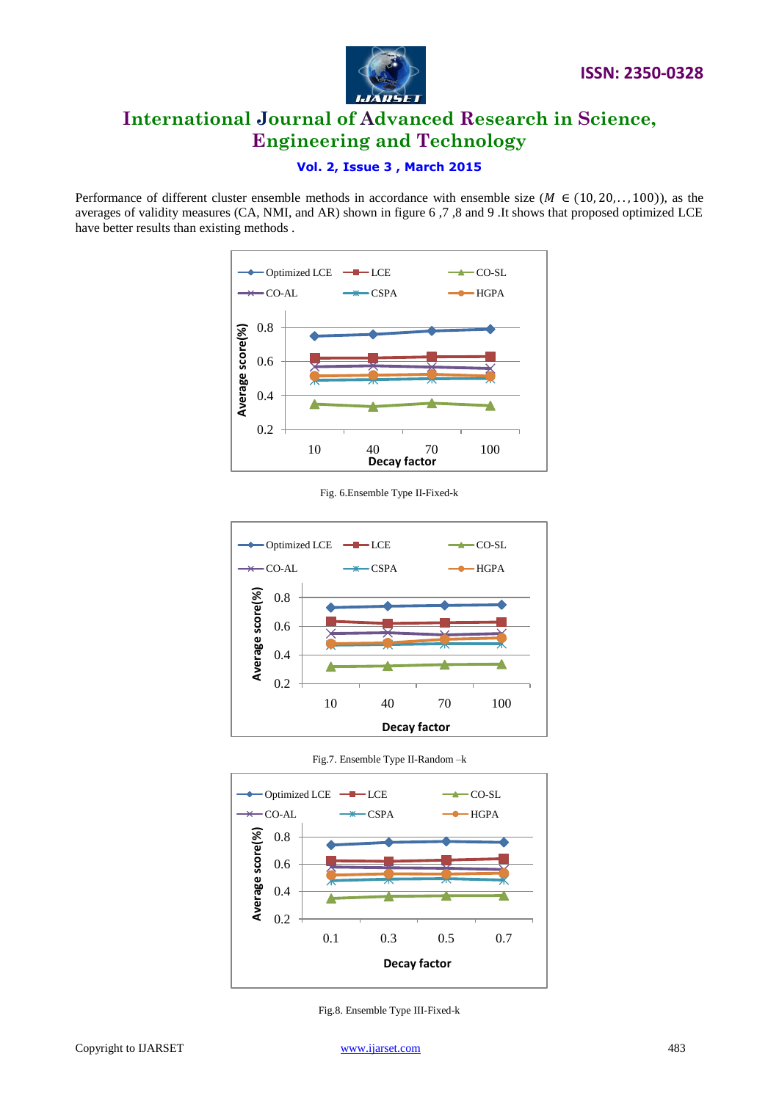



#### **Vol. 2, Issue 3 , March 2015**

Performance of different cluster ensemble methods in accordance with ensemble size ( $M \in (10, 20, \ldots, 100)$ ), as the averages of validity measures (CA, NMI, and AR) shown in figure 6 ,7 ,8 and 9 .It shows that proposed optimized LCE have better results than existing methods .



Fig. 6.Ensemble Type II-Fixed-k



Fig.7. Ensemble Type II-Random –k



Fig.8. Ensemble Type III-Fixed-k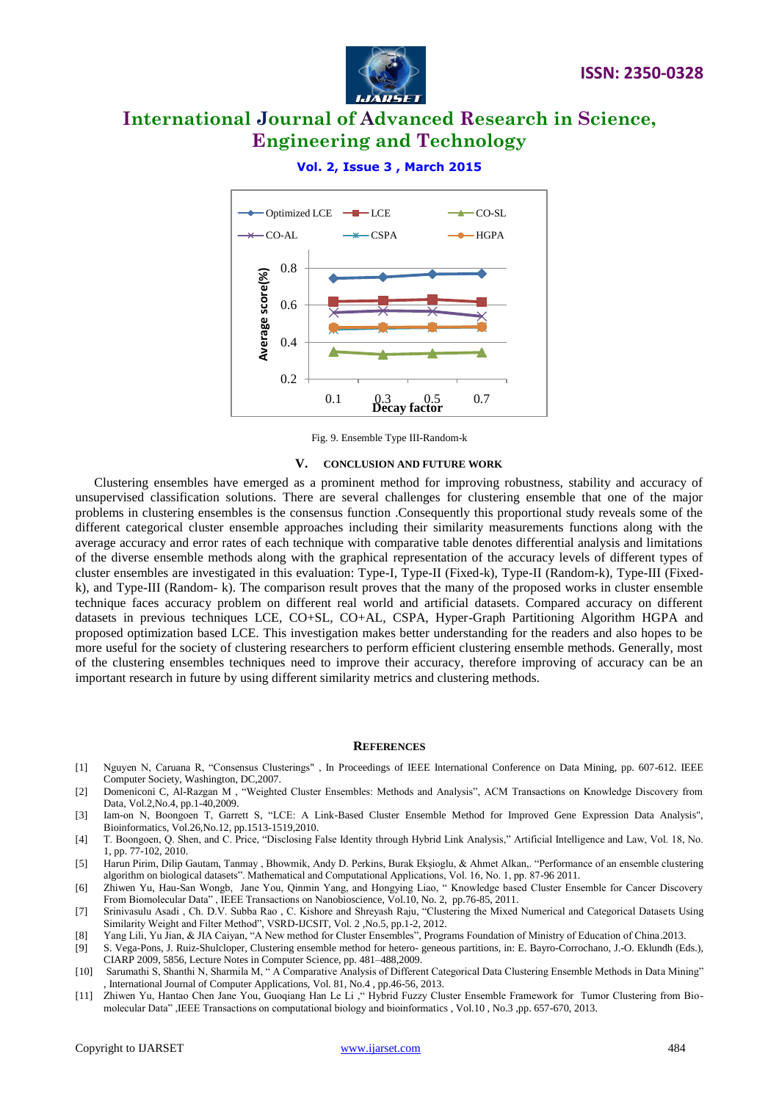



#### **Vol. 2, Issue 3 , March 2015**

Fig. 9. Ensemble Type III-Random-k

#### **V. CONCLUSION AND FUTURE WORK**

Clustering ensembles have emerged as a prominent method for improving robustness, stability and accuracy of unsupervised classification solutions. There are several challenges for clustering ensemble that one of the major problems in clustering ensembles is the consensus function .Consequently this proportional study reveals some of the different categorical cluster ensemble approaches including their similarity measurements functions along with the average accuracy and error rates of each technique with comparative table denotes differential analysis and limitations of the diverse ensemble methods along with the graphical representation of the accuracy levels of different types of cluster ensembles are investigated in this evaluation: Type-I, Type-II (Fixed-k), Type-II (Random-k), Type-III (Fixedk), and Type-III (Random- k). The comparison result proves that the many of the proposed works in cluster ensemble technique faces accuracy problem on different real world and artificial datasets. Compared accuracy on different datasets in previous techniques LCE, CO+SL, CO+AL, CSPA, Hyper-Graph Partitioning Algorithm HGPA and proposed optimization based LCE. This investigation makes better understanding for the readers and also hopes to be more useful for the society of clustering researchers to perform efficient clustering ensemble methods. Generally, most of the clustering ensembles techniques need to improve their accuracy, therefore improving of accuracy can be an important research in future by using different similarity metrics and clustering methods.

#### **REFERENCES**

- [1] Nguyen N, Caruana R, "Consensus Clusterings" , In Proceedings of IEEE International Conference on Data Mining, pp. 607-612. IEEE Computer Society, Washington, DC,2007.
- [2] Domeniconi C, Al-Razgan M , "Weighted Cluster Ensembles: Methods and Analysis", ACM Transactions on Knowledge Discovery from Data, Vol.2,No.4, pp.1-40,2009.
- [3] Iam-on N, Boongoen T, Garrett S, "LCE: A Link-Based Cluster Ensemble Method for Improved Gene Expression Data Analysis", Bioinformatics, Vol.26,No.12, pp.1513-1519,2010.
- [4] T. Boongoen, Q. Shen, and C. Price, "Disclosing False Identity through Hybrid Link Analysis," Artificial Intelligence and Law, Vol. 18, No. 1, pp. 77-102, 2010.
- [5] Harun Pirim, Dilip Gautam, Tanmay , Bhowmik, Andy D. Perkins, Burak Ekşioglu, & Ahmet Alkan,. "Performance of an ensemble clustering algorithm on biological datasets". Mathematical and Computational Applications, Vol. 16, No. 1, pp. 87-96 2011.
- [6] Zhiwen Yu, Hau-San Wongb, Jane You, Qinmin Yang, and Hongying Liao, " Knowledge based Cluster Ensemble for Cancer Discovery From Biomolecular Data", IEEE Transactions on Nanobioscience, Vol.10, No. 2, pp.76-85, 2011.
- [7] Srinivasulu Asadi , Ch. D.V. Subba Rao , C. Kishore and Shreyash Raju, "Clustering the Mixed Numerical and Categorical Datasets Using Similarity Weight and Filter Method", VSRD-IJCSIT, Vol. 2 ,No.5, pp.1-2, 2012.
- [8] Yang Lili, Yu Jian, & JIA Caiyan, "A New method for Cluster Ensembles", Programs Foundation of Ministry of Education of China.2013.
- [9] S. Vega-Pons, J. Ruiz-Shulcloper, Clustering ensemble method for hetero- geneous partitions, in: E. Bayro-Corrochano, J.-O. Eklundh (Eds.), CIARP 2009, 5856, Lecture Notes in Computer Science, pp. 481–488,2009.
- [10] Sarumathi S, Shanthi N, Sharmila M, " A Comparative Analysis of Different Categorical Data Clustering Ensemble Methods in Data Mining" , International Journal of Computer Applications, Vol. 81, No.4 , pp.46-56, 2013.
- [11] Zhiwen Yu, Hantao Chen Jane You, Guoqiang Han Le Li ," Hybrid Fuzzy Cluster Ensemble Framework for Tumor Clustering from Biomolecular Data" ,IEEE Transactions on computational biology and bioinformatics , Vol.10 , No.3 ,pp. 657-670, 2013.